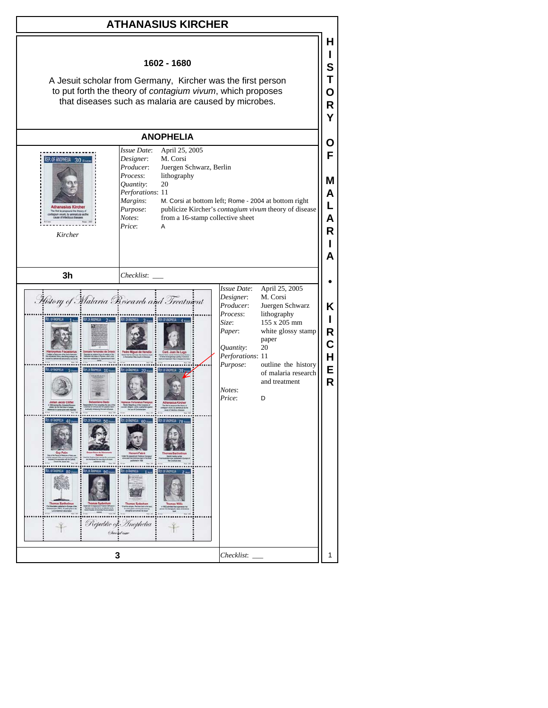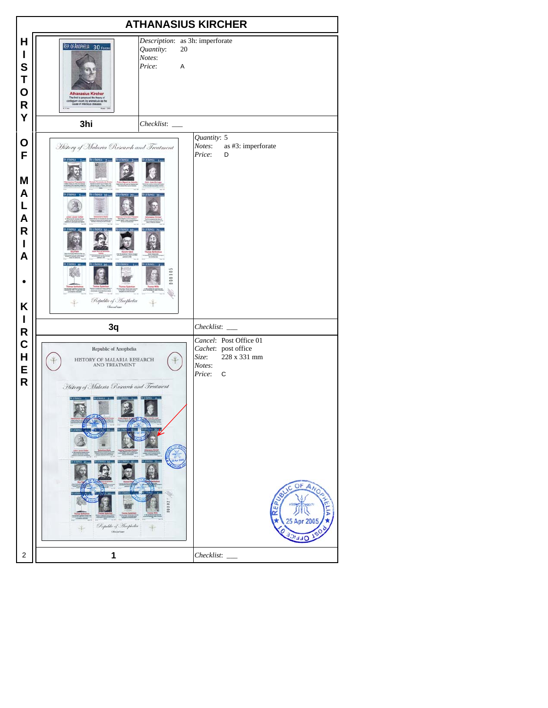| <b>ATHANASIUS KIRCHER</b>                                 |                                                                                                                                                                                                                                                           |                                                                                                                                                       |
|-----------------------------------------------------------|-----------------------------------------------------------------------------------------------------------------------------------------------------------------------------------------------------------------------------------------------------------|-------------------------------------------------------------------------------------------------------------------------------------------------------|
| н<br>I<br>S<br>T<br>$\mathbf O$<br>$\mathsf R$<br>Y       | Description: as 3h: imperforate<br>REP. OF ANOPHELIA 30 FEVERS<br>Quantity:<br>20<br>Notes:<br>Price:<br>A<br><b>Athanasius Kircher</b><br>The first to propound the theory of<br>Integrant viviant, by animatcula as the<br>cause of intectious diseases |                                                                                                                                                       |
|                                                           | 3hi                                                                                                                                                                                                                                                       |                                                                                                                                                       |
| O<br>F<br>M<br>A<br>L<br>A<br>$\mathsf{R}$<br>I<br>A<br>Κ | History of Malaria Research and Treatment<br>0000<br>Republic of Inophelia<br>Sheradian                                                                                                                                                                   | Quantity: 5<br>Notes:<br>as #3: imperforate<br>Price:<br>D                                                                                            |
| I<br>R                                                    | 3q                                                                                                                                                                                                                                                        | Checklist: ____                                                                                                                                       |
| $\mathbf C$<br>H<br>E<br>$\overline{\mathsf{R}}$          | Republic of Anophelia<br>HISTORY OF MALARIA RESEARCH<br>AND TREATMENT<br>History of Malaria Research and Treatment<br>Republic of Anophelia<br>Chaind town                                                                                                | Cancel: Post Office 01<br>Cachet: post office<br>228 x 331 mm<br>Size:<br>Notes:<br>Price:<br>$\mathbf C$<br>OF ANO<br>EP<br>œ<br>25 Apr 2005<br>4 FC |
| $\overline{\mathbf{c}}$                                   | 1                                                                                                                                                                                                                                                         | Checklist:                                                                                                                                            |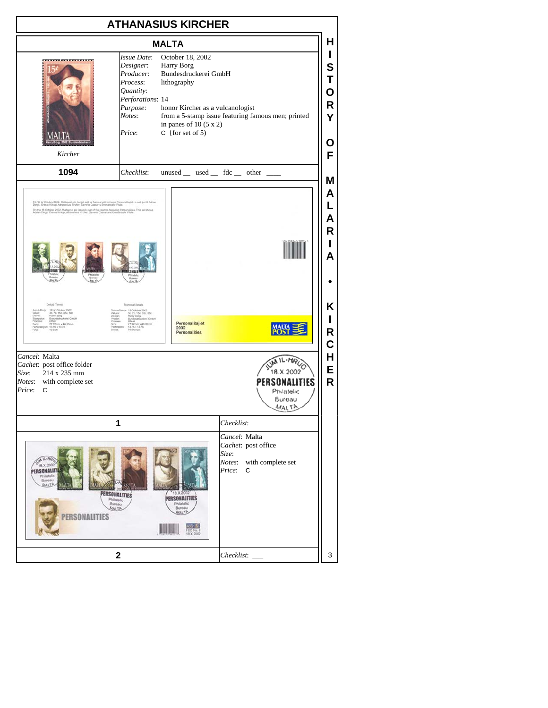